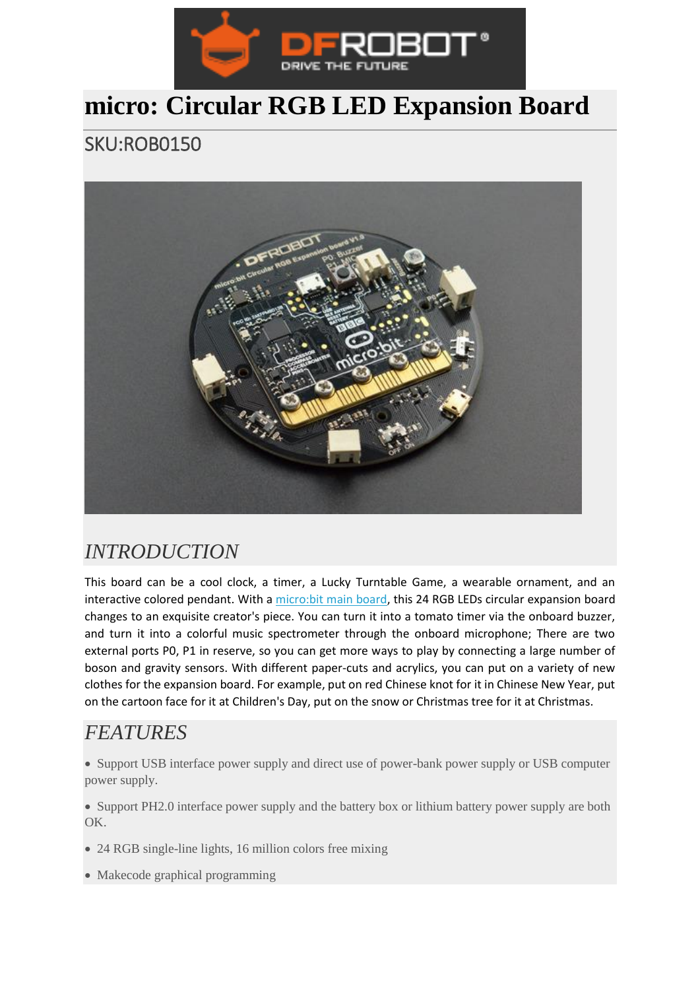

## **micro: Circular RGB LED Expansion Board**

SKU:ROB0150



## *INTRODUCTION*

This board can be a cool clock, a timer, a Lucky Turntable Game, a wearable ornament, and an interactive colored pendant. With a [micro:bit main board,](https://www.dfrobot.com/product-1587.html) this 24 RGB LEDs circular expansion board changes to an exquisite creator's piece. You can turn it into a tomato timer via the onboard buzzer, and turn it into a colorful music spectrometer through the onboard microphone; There are two external ports P0, P1 in reserve, so you can get more ways to play by connecting a large number of boson and gravity sensors. With different paper-cuts and acrylics, you can put on a variety of new clothes for the expansion board. For example, put on red Chinese knot for it in Chinese New Year, put on the cartoon face for it at Children's Day, put on the snow or Christmas tree for it at Christmas.

## *FEATURES*

• Support USB interface power supply and direct use of power-bank power supply or USB computer power supply.

• Support PH2.0 interface power supply and the battery box or lithium battery power supply are both OK.

- 24 RGB single-line lights, 16 million colors free mixing
- Makecode graphical programming